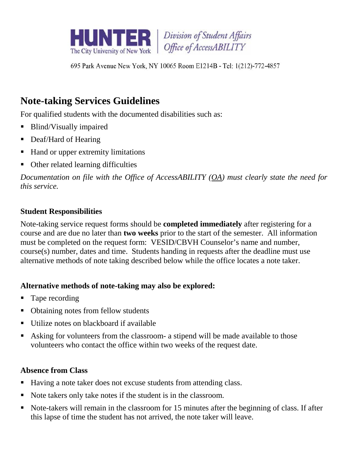

Division of Student Affairs Office of AccessABILITY

695 Park Avenue New York, NY 10065 Room E1214B - Tel: 1(212)-772-4857

# **Note-taking Services Guidelines**

For qualified students with the documented disabilities such as:

- Blind/Visually impaired
- Deaf/Hard of Hearing
- Hand or upper extremity limitations
- Other related learning difficulties

*Documentation on file with the Office of AccessABILITY (OA) must clearly state the need for this service.*

## **Student Responsibilities**

Note-taking service request forms should be **completed immediately** after registering for a course and are due no later than **two weeks** prior to the start of the semester. All information must be completed on the request form: VESID/CBVH Counselor's name and number, course(s) number, dates and time. Students handing in requests after the deadline must use alternative methods of note taking described below while the office locates a note taker.

## **Alternative methods of note-taking may also be explored:**

- Tape recording
- Obtaining notes from fellow students
- Utilize notes on blackboard if available
- Asking for volunteers from the classroom- a stipend will be made available to those volunteers who contact the office within two weeks of the request date.

# **Absence from Class**

- Having a note taker does not excuse students from attending class.
- Note takers only take notes if the student is in the classroom.
- Note-takers will remain in the classroom for 15 minutes after the beginning of class. If after this lapse of time the student has not arrived, the note taker will leave.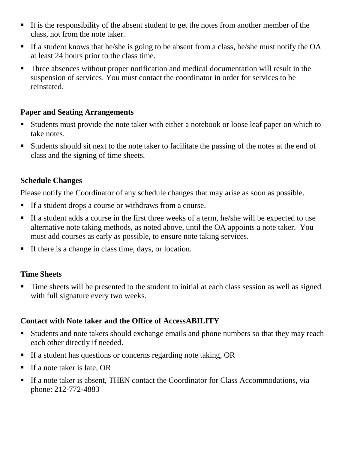- It is the responsibility of the absent student to get the notes from another member of the class, not from the note taker.
- If a student knows that he/she is going to be absent from a class, he/she must notify the OA at least 24 hours prior to the class time.
- Three absences without proper notification and medical documentation will result in the suspension of services. You must contact the coordinator in order for services to be reinstated.

#### **Paper and Seating Arrangements**

- Students must provide the note taker with either a notebook or loose leaf paper on which to take notes.
- Students should sit next to the note taker to facilitate the passing of the notes at the end of class and the signing of time sheets.

#### **Schedule Changes**

Please notify the Coordinator of any schedule changes that may arise as soon as possible.

- If a student drops a course or withdraws from a course.
- If a student adds a course in the first three weeks of a term, he/she will be expected to use alternative note taking methods, as noted above, until the OA appoints a note taker. You must add courses as early as possible, to ensure note taking services.
- If there is a change in class time, days, or location.

#### **Time Sheets**

Time sheets will be presented to the student to initial at each class session as well as signed with full signature every two weeks.

#### **Contact with Note taker and the Office of AccessABILITY**

- Students and note takers should exchange emails and phone numbers so that they may reach each other directly if needed.
- If a student has questions or concerns regarding note taking, OR
- If a note taker is late, OR
- If a note taker is absent, THEN contact the Coordinator for Class Accommodations, via phone: 212-772-4883